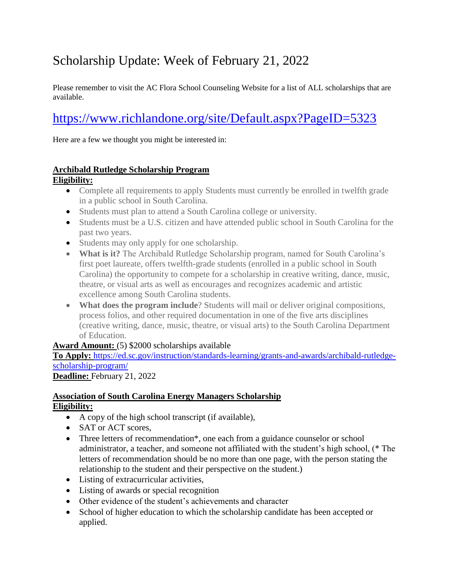# Scholarship Update: Week of February 21, 2022

Please remember to visit the AC Flora School Counseling Website for a list of ALL scholarships that are available.

# <https://www.richlandone.org/site/Default.aspx?PageID=5323>

Here are a few we thought you might be interested in:

#### **Archibald Rutledge Scholarship Program**

#### **Eligibility:**

- Complete all requirements to apply Students must currently be enrolled in twelfth grade in a public school in South Carolina.
- Students must plan to attend a South Carolina college or university.
- Students must be a U.S. citizen and have attended public school in South Carolina for the past two years.
- Students may only apply for one scholarship.
- **What is it?** The Archibald Rutledge Scholarship program, named for South Carolina's first poet laureate, offers twelfth-grade students (enrolled in a public school in South Carolina) the opportunity to compete for a scholarship in creative writing, dance, music, theatre, or visual arts as well as encourages and recognizes academic and artistic excellence among South Carolina students.
- **What does the program include**? Students will mail or deliver original compositions, process folios, and other required documentation in one of the five arts disciplines (creative writing, dance, music, theatre, or visual arts) to the South Carolina Department of Education.

#### Award Amount: (5) \$2000 scholarships available

**To Apply:** [https://ed.sc.gov/instruction/standards-learning/grants-and-awards/archibald-rutledge](https://ed.sc.gov/instruction/standards-learning/grants-and-awards/archibald-rutledge-scholarship-program/)[scholarship-program/](https://ed.sc.gov/instruction/standards-learning/grants-and-awards/archibald-rutledge-scholarship-program/)

#### **Deadline:** February 21, 2022

#### **Association of South Carolina Energy Managers Scholarship Eligibility:**

- A copy of the high school transcript (if available),
- SAT or ACT scores,
- Three letters of recommendation\*, one each from a guidance counselor or school administrator, a teacher, and someone not affiliated with the student's high school, (\* The letters of recommendation should be no more than one page, with the person stating the relationship to the student and their perspective on the student.)
- Listing of extracurricular activities,
- Listing of awards or special recognition
- Other evidence of the student's achievements and character
- School of higher education to which the scholarship candidate has been accepted or applied.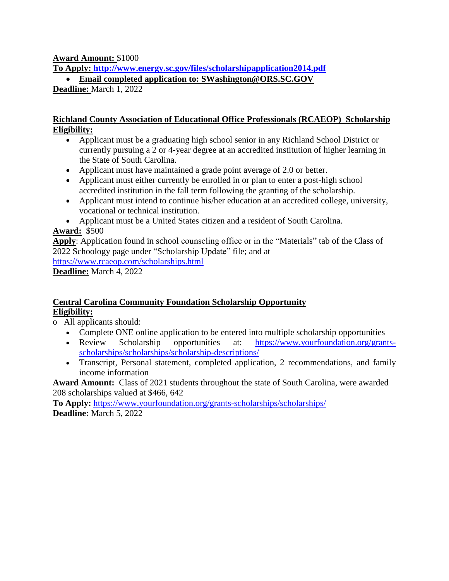#### **Award Amount:** \$1000

**To Apply:<http://www.energy.sc.gov/files/scholarshipapplication2014.pdf>**

**Email completed application to: SWashington@ORS.SC.GOV**

**Deadline:** March 1, 2022

#### **Richland County Association of Educational Office Professionals (RCAEOP) Scholarship Eligibility:**

- Applicant must be a graduating high school senior in any Richland School District or currently pursuing a 2 or 4-year degree at an accredited institution of higher learning in the State of South Carolina.
- Applicant must have maintained a grade point average of 2.0 or better.
- Applicant must either currently be enrolled in or plan to enter a post-high school accredited institution in the fall term following the granting of the scholarship.
- Applicant must intend to continue his/her education at an accredited college, university, vocational or technical institution.
- Applicant must be a United States citizen and a resident of South Carolina.

# **Award:** \$500

**Apply**: Application found in school counseling office or in the "Materials" tab of the Class of 2022 Schoology page under "Scholarship Update" file; and at

<https://www.rcaeop.com/scholarships.html>

**Deadline:** March 4, 2022

#### **Central Carolina Community Foundation Scholarship Opportunity Eligibility:**

o All applicants should:

- Complete ONE online application to be entered into multiple scholarship opportunities
- Review Scholarship opportunities at: [https://www.yourfoundation.org/grants](https://www.yourfoundation.org/grants-scholarships/scholarships/scholarship-descriptions/)[scholarships/scholarships/scholarship-descriptions/](https://www.yourfoundation.org/grants-scholarships/scholarships/scholarship-descriptions/)
- Transcript, Personal statement, completed application, 2 recommendations, and family income information

**Award Amount:** Class of 2021 students throughout the state of South Carolina, were awarded 208 scholarships valued at \$466, 642

**To Apply:** <https://www.yourfoundation.org/grants-scholarships/scholarships/> **Deadline:** March 5, 2022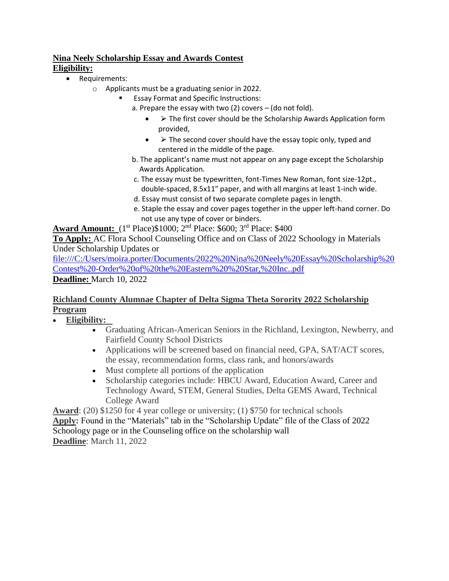#### **Nina Neely Scholarship Essay and Awards Contest Eligibility:**

- Requirements:
	- o Applicants must be a graduating senior in 2022.
		- Essay Format and Specific Instructions:
			- a. Prepare the essay with two (2) covers (do not fold).
				- $\triangleright$  The first cover should be the Scholarship Awards Application form provided,
				- $\bullet\quad$  > The second cover should have the essay topic only, typed and centered in the middle of the page.
			- b. The applicant's name must not appear on any page except the Scholarship Awards Application.
			- c. The essay must be typewritten, font-Times New Roman, font size-12pt., double-spaced, 8.5x11" paper, and with all margins at least 1-inch wide.
			- d. Essay must consist of two separate complete pages in length.
			- e. Staple the essay and cover pages together in the upper left-hand corner. Do not use any type of cover or binders.

**Award Amount:** (1<sup>st</sup> Place)\$1000; 2<sup>nd</sup> Place: \$600; 3<sup>rd</sup> Place: \$400

**To Apply:** [AC](http://www.hamptonwildlifefund.org/scholarship.html) Flora School Counseling Office and on Class of 2022 Schoology in Materials Under Scholarship Updates or

[file:///C:/Users/moira.porter/Documents/2022%20Nina%20Neely%20Essay%20Scholarship%20](file:///C:/Users/moira.porter/Documents/2022%20Nina%20Neely%20Essay%20Scholarship%20Contest%20-Order%20of%20the%20Eastern%20%20Star,%20Inc..pdf) [Contest%20-Order%20of%20the%20Eastern%20%20Star,%20Inc..pdf](file:///C:/Users/moira.porter/Documents/2022%20Nina%20Neely%20Essay%20Scholarship%20Contest%20-Order%20of%20the%20Eastern%20%20Star,%20Inc..pdf) **Deadline:** March 10, 2022

#### **Richland County Alumnae Chapter of Delta Sigma Theta Sorority 2022 Scholarship Program**

- **Eligibility:** 
	- Graduating African-American Seniors in the Richland, Lexington, Newberry, and Fairfield County School Districts
	- Applications will be screened based on financial need, GPA, SAT/ACT scores, the essay, recommendation forms, class rank, and honors/awards
	- Must complete all portions of the application
	- Scholarship categories include: HBCU Award, Education Award, Career and Technology Award, STEM, General Studies, Delta GEMS Award, Technical College Award

**Award**: (20) \$1250 for 4 year college or university; (1) \$750 for technical schools **Apply:** Found in the "Materials" tab in the "Scholarship Update" file of the Class of 2022 Schoology page or in the Counseling office on the scholarship wall **Deadline**: March 11, 2022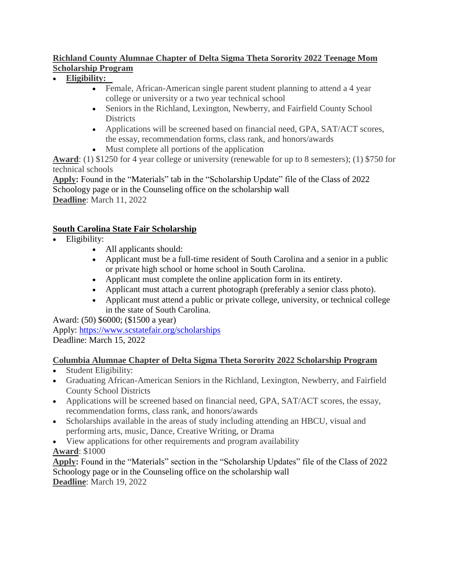#### **Richland County Alumnae Chapter of Delta Sigma Theta Sorority 2022 Teenage Mom Scholarship Program**

- **Eligibility:** 
	- Female, African-American single parent student planning to attend a 4 year college or university or a two year technical school
	- Seniors in the Richland, Lexington, Newberry, and Fairfield County School **Districts**
	- Applications will be screened based on financial need, GPA, SAT/ACT scores, the essay, recommendation forms, class rank, and honors/awards
	- Must complete all portions of the application

**Award**: (1) \$1250 for 4 year college or university (renewable for up to 8 semesters); (1) \$750 for technical schools

**Apply:** Found in the "Materials" tab in the "Scholarship Update" file of the Class of 2022 Schoology page or in the Counseling office on the scholarship wall **Deadline**: March 11, 2022

# **South Carolina State Fair Scholarship**

- Eligibility:
	- All applicants should:
	- Applicant must be a full-time resident of South Carolina and a senior in a public or private high school or home school in South Carolina.
	- Applicant must complete the online application form in its entirety.
	- Applicant must attach a current photograph (preferably a senior class photo).
	- Applicant must attend a public or private college, university, or technical college in the state of South Carolina.

Award: (50) \$6000; (\$1500 a year)

Apply: <https://www.scstatefair.org/scholarships> Deadline: March 15, 2022

#### **Columbia Alumnae Chapter of Delta Sigma Theta Sorority 2022 Scholarship Program**

- Student Eligibility:
- Graduating African-American Seniors in the Richland, Lexington, Newberry, and Fairfield County School Districts
- Applications will be screened based on financial need, GPA, SAT/ACT scores, the essay, recommendation forms, class rank, and honors/awards
- Scholarships available in the areas of study including attending an HBCU, visual and performing arts, music, Dance, Creative Writing, or Drama
- View applications for other requirements and program availability **Award**: \$1000

**Apply:** Found in the "Materials" section in the "Scholarship Updates" file of the Class of 2022 Schoology page or in the Counseling office on the scholarship wall **Deadline**: March 19, 2022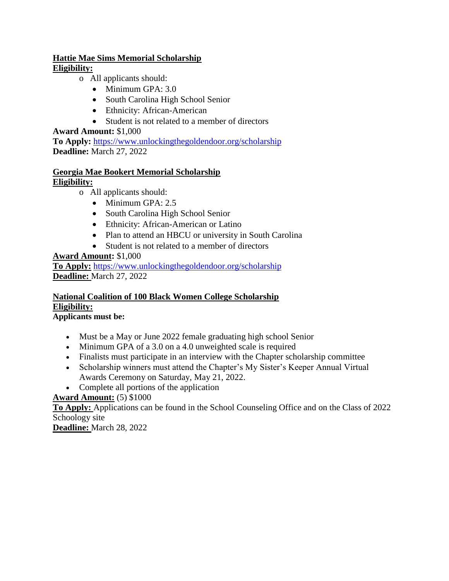#### **Hattie Mae Sims Memorial Scholarship Eligibility:**

- o All applicants should:
	- Minimum GPA: 3.0
	- South Carolina High School Senior
	- Ethnicity: African-American
	- Student is not related to a member of directors

#### **Award Amount:** \$1,000

**To Apply:** <https://www.unlockingthegoldendoor.org/scholarship> **Deadline:** March 27, 2022

#### **Georgia Mae Bookert Memorial Scholarship Eligibility:**

- o All applicants should:
	- $\bullet$  Minimum GPA: 2.5
	- South Carolina High School Senior
	- Ethnicity: African-American or Latino
	- Plan to attend an HBCU or university in South Carolina
	- Student is not related to a member of directors

#### **Award Amount:** \$1,000

**To Apply:** <https://www.unlockingthegoldendoor.org/scholarship> **Deadline:** March 27, 2022

# **National Coalition of 100 Black Women College Scholarship Eligibility:**

#### **Applicants must be:**

- Must be a May or June 2022 female graduating high school Senior
- Minimum GPA of a 3.0 on a 4.0 unweighted scale is required
- Finalists must participate in an interview with the Chapter scholarship committee
- Scholarship winners must attend the Chapter's My Sister's Keeper Annual Virtual Awards Ceremony on Saturday, May 21, 2022.
- Complete all portions of the application

#### **Award Amount:** (5) \$1000

**To Apply:** [Applications can be found in the School Counseling Office and on the Class of 2022](https://silverpen-slc.com/)  [Schoology site](https://silverpen-slc.com/)

**Deadline:** March 28, 2022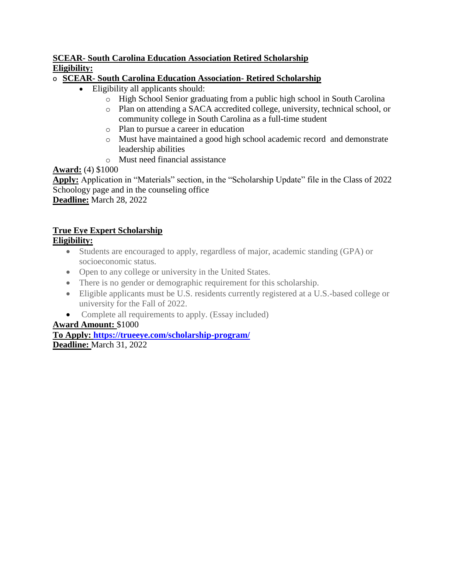#### **SCEAR- South Carolina Education Association Retired Scholarship Eligibility:**

#### o **SCEAR- South Carolina Education Association- Retired Scholarship**

- Eligibility all applicants should:
	- o High School Senior graduating from a public high school in South Carolina
	- o Plan on attending a SACA accredited college, university, technical school, or community college in South Carolina as a full-time student
	- o Plan to pursue a career in education
	- o Must have maintained a good high school academic record and demonstrate leadership abilities
	- o Must need financial assistance

#### **Award:** (4) \$1000

**Apply:** Application in "Materials" section, in the "Scholarship Update" file in the Class of 2022 Schoology page and in the counseling office

**Deadline:** March 28, 2022

# **True Eye Expert Scholarship**

#### **Eligibility:**

- Students are encouraged to apply, regardless of major, academic standing (GPA) or socioeconomic status.
- Open to any college or university in the United States.
- There is no gender or demographic requirement for this scholarship.
- Eligible applicants must be U.S. residents currently registered at a U.S.-based college or university for the Fall of 2022.
- Complete all requirements to apply. (Essay included)

#### **Award Amount:** \$1000

**To Apply: <https://trueeye.com/scholarship-program/>**

**Deadline:** March 31, 2022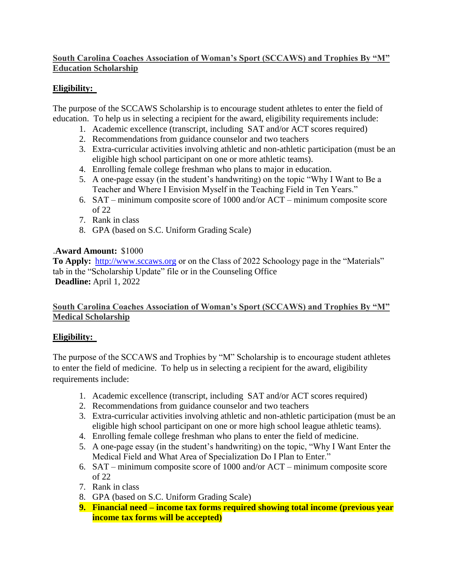#### **South Carolina Coaches Association of Woman's Sport (SCCAWS) and Trophies By "M" Education Scholarship**

# **Eligibility:**

The purpose of the SCCAWS Scholarship is to encourage student athletes to enter the field of education. To help us in selecting a recipient for the award, eligibility requirements include:

- 1. Academic excellence (transcript, including SAT and/or ACT scores required)
- 2. Recommendations from guidance counselor and two teachers
- 3. Extra-curricular activities involving athletic and non-athletic participation (must be an eligible high school participant on one or more athletic teams).
- 4. Enrolling female college freshman who plans to major in education.
- 5. A one-page essay (in the student's handwriting) on the topic "Why I Want to Be a Teacher and Where I Envision Myself in the Teaching Field in Ten Years."
- 6. SAT minimum composite score of 1000 and/or ACT minimum composite score of 22
- 7. Rank in class
- 8. GPA (based on S.C. Uniform Grading Scale)

#### .**Award Amount:**  \$1000

**To Apply:** [http://www.sccaws.org](http://www.sccaws.org/) or on the Class of 2022 Schoology page in the "Materials" tab in the "Scholarship Update" file or in the Counseling Office **Deadline:** April 1, 2022

#### **South Carolina Coaches Association of Woman's Sport (SCCAWS) and Trophies By "M" Medical Scholarship**

#### **Eligibility:**

The purpose of the SCCAWS and Trophies by "M" Scholarship is to encourage student athletes to enter the field of medicine. To help us in selecting a recipient for the award, eligibility requirements include:

- 1. Academic excellence (transcript, including SAT and/or ACT scores required)
- 2. Recommendations from guidance counselor and two teachers
- 3. Extra-curricular activities involving athletic and non-athletic participation (must be an eligible high school participant on one or more high school league athletic teams).
- 4. Enrolling female college freshman who plans to enter the field of medicine.
- 5. A one-page essay (in the student's handwriting) on the topic, "Why I Want Enter the Medical Field and What Area of Specialization Do I Plan to Enter."
- 6. SAT minimum composite score of 1000 and/or ACT minimum composite score of 22
- 7. Rank in class
- 8. GPA (based on S.C. Uniform Grading Scale)
- **9. Financial need – income tax forms required showing total income (previous year income tax forms will be accepted)**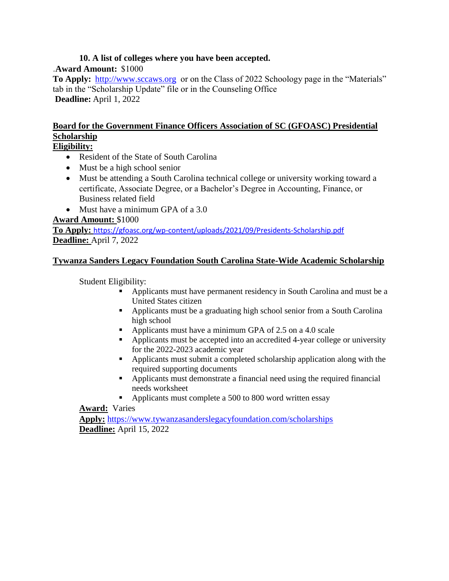#### **10. A list of colleges where you have been accepted.**

#### .**Award Amount:**  \$1000

**To Apply:** [http://www.sccaws.org](http://www.sccaws.org/) or on the Class of 2022 Schoology page in the "Materials" tab in the "Scholarship Update" file or in the Counseling Office **Deadline:** April 1, 2022

# **Board for the Government Finance Officers Association of SC (GFOASC) Presidential Scholarship**

#### **Eligibility:**

- Resident of the State of South Carolina
- Must be a high school senior
- Must be attending a South Carolina technical college or university working toward a certificate, Associate Degree, or a Bachelor's Degree in Accounting, Finance, or Business related field
- Must have a minimum GPA of a 3.0

#### **Award Amount:** \$1000

**To Apply:** <https://gfoasc.org/wp-content/uploads/2021/09/Presidents-Scholarship.pdf> **Deadline:** April 7, 2022

#### **Tywanza Sanders Legacy Foundation South Carolina State-Wide Academic Scholarship**

Student Eligibility:

- Applicants must have permanent residency in South Carolina and must be a United States citizen
- Applicants must be a graduating high school senior from a South Carolina high school
- Applicants must have a minimum GPA of 2.5 on a 4.0 scale
- Applicants must be accepted into an accredited 4-year college or university for the 2022-2023 academic year
- Applicants must submit a completed scholarship application along with the required supporting documents
- Applicants must demonstrate a financial need using the required financial needs worksheet
- Applicants must complete a 500 to 800 word written essay

#### **Award:** Varies

**Apply:** <https://www.tywanzasanderslegacyfoundation.com/scholarships> **Deadline:** April 15, 2022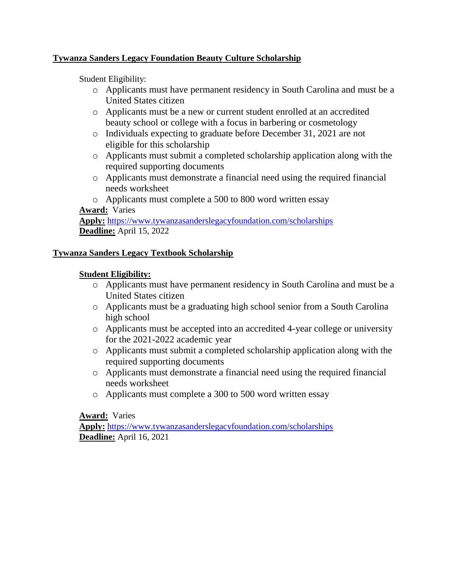#### **Tywanza Sanders Legacy Foundation Beauty Culture Scholarship**

Student Eligibility:

- o Applicants must have permanent residency in South Carolina and must be a United States citizen
- o Applicants must be a new or current student enrolled at an accredited beauty school or college with a focus in barbering or cosmetology
- o Individuals expecting to graduate before December 31, 2021 are not eligible for this scholarship
- o Applicants must submit a completed scholarship application along with the required supporting documents
- o Applicants must demonstrate a financial need using the required financial needs worksheet
- o Applicants must complete a 500 to 800 word written essay **Award:** Varies

**Apply:** <https://www.tywanzasanderslegacyfoundation.com/scholarships> **Deadline:** April 15, 2022

#### **Tywanza Sanders Legacy Textbook Scholarship**

#### **Student Eligibility:**

- o Applicants must have permanent residency in South Carolina and must be a United States citizen
- o Applicants must be a graduating high school senior from a South Carolina high school
- o Applicants must be accepted into an accredited 4-year college or university for the 2021-2022 academic year
- o Applicants must submit a completed scholarship application along with the required supporting documents
- o Applicants must demonstrate a financial need using the required financial needs worksheet
- o Applicants must complete a 300 to 500 word written essay

**Award:** Varies

**Apply:** <https://www.tywanzasanderslegacyfoundation.com/scholarships> **Deadline:** April 16, 2021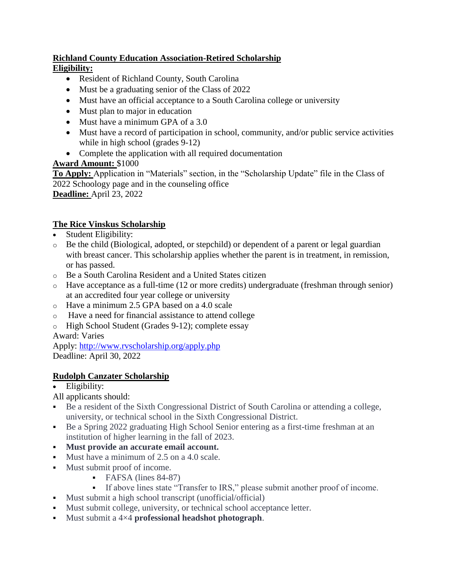### **Richland County Education Association-Retired Scholarship Eligibility:**

- Resident of Richland County, South Carolina
- Must be a graduating senior of the Class of 2022
- Must have an official acceptance to a South Carolina college or university
- Must plan to major in education
- Must have a minimum GPA of a 3.0
- Must have a record of participation in school, community, and/or public service activities while in high school (grades 9-12)
- Complete the application with all required documentation

# **Award Amount:** \$1000

**To Apply:** Application in "Materials" section, in the "Scholarship Update" file in the Class of 2022 Schoology page and in the counseling office **Deadline:** April 23, 2022

# **The Rice Vinskus Scholarship**

- Student Eligibility:
- $\circ$  Be the child (Biological, adopted, or stepchild) or dependent of a parent or legal guardian with breast cancer. This scholarship applies whether the parent is in treatment, in remission, or has passed.
- o Be a South Carolina Resident and a United States citizen
- $\circ$  Have acceptance as a full-time (12 or more credits) undergraduate (freshman through senior) at an accredited four year college or university
- o Have a minimum 2.5 GPA based on a 4.0 scale
- o Have a need for financial assistance to attend college
- o High School Student (Grades 9-12); complete essay

Award: Varies

Apply: <http://www.rvscholarship.org/apply.php> Deadline: April 30, 2022

# **Rudolph Canzater Scholarship**

# • Eligibility:

- All applicants should:
- Be a resident of the Sixth Congressional District of South Carolina or attending a college, university, or technical school in the Sixth Congressional District.
- Be a Spring 2022 graduating High School Senior entering as a first-time freshman at an institution of higher learning in the fall of 2023.
- **Must provide an accurate email account.**
- Must have a minimum of 2.5 on a 4.0 scale.
- Must submit proof of income.
	- **FAFSA** (lines 84-87)
	- If above lines state "Transfer to IRS," please submit another proof of income.
- Must submit a high school transcript (unofficial/official)
- Must submit college, university, or technical school acceptance letter.
- Must submit a 4×4 **professional headshot photograph**.